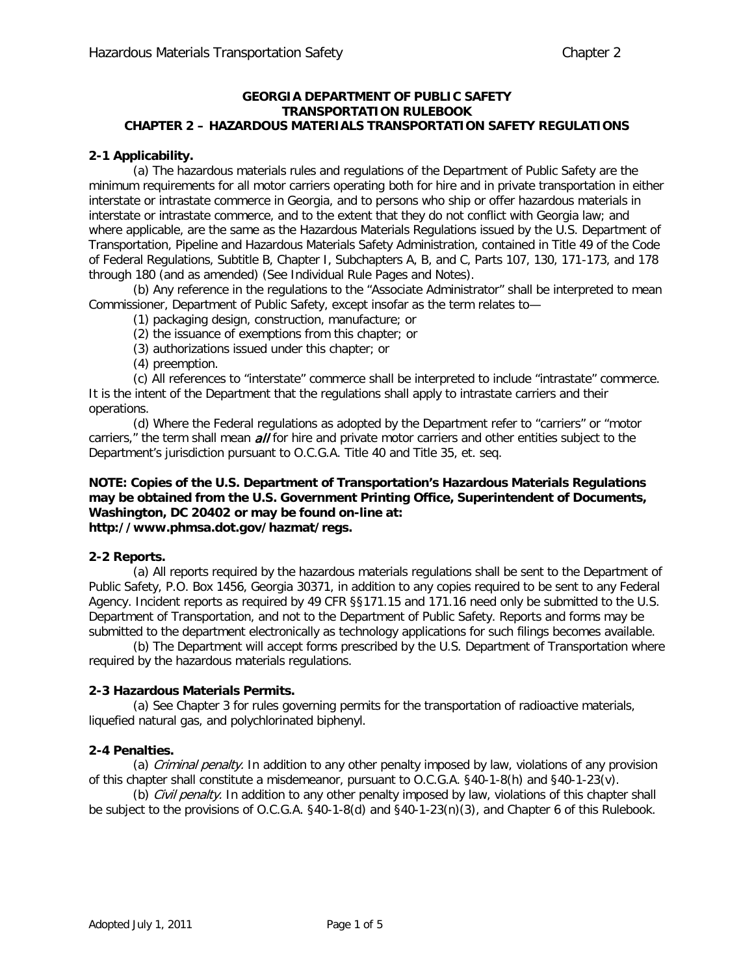# **GEORGIA DEPARTMENT OF PUBLIC SAFETY TRANSPORTATION RULEBOOK CHAPTER 2 – HAZARDOUS MATERIALS TRANSPORTATION SAFETY REGULATIONS**

# **2-1 Applicability.**

(a) The hazardous materials rules and regulations of the Department of Public Safety are the minimum requirements for all motor carriers operating both for hire and in private transportation in either interstate or intrastate commerce in Georgia, and to persons who ship or offer hazardous materials in interstate or intrastate commerce, and to the extent that they do not conflict with Georgia law; and where applicable, are the same as the Hazardous Materials Regulations issued by the U.S. Department of Transportation, Pipeline and Hazardous Materials Safety Administration, contained in Title 49 of the Code of Federal Regulations, Subtitle B, Chapter I, Subchapters A, B, and C, Parts 107, 130, 171-173, and 178 through 180 (and as amended) (See Individual Rule Pages and Notes).

(b) Any reference in the regulations to the "Associate Administrator" shall be interpreted to mean Commissioner, Department of Public Safety, except insofar as the term relates to—

(1) packaging design, construction, manufacture; or

(2) the issuance of exemptions from this chapter; or

(3) authorizations issued under this chapter; or

(4) preemption.

(c) All references to "interstate" commerce shall be interpreted to include "intrastate" commerce. It is the intent of the Department that the regulations shall apply to intrastate carriers and their operations.

(d) Where the Federal regulations as adopted by the Department refer to "carriers" or "motor carriers," the term shall mean *all* for hire and private motor carriers and other entities subject to the Department's jurisdiction pursuant to O.C.G.A. Title 40 and Title 35, et. seq.

### **NOTE: Copies of the U.S. Department of Transportation's Hazardous Materials Regulations may be obtained from the U.S. Government Printing Office, Superintendent of Documents, Washington, DC 20402 or may be found on-line at: http://www.phmsa.dot.gov/hazmat/regs.**

### **2-2 Reports.**

(a) All reports required by the hazardous materials regulations shall be sent to the Department of Public Safety, P.O. Box 1456, Georgia 30371, in addition to any copies required to be sent to any Federal Agency. Incident reports as required by 49 CFR §§171.15 and 171.16 need only be submitted to the U.S. Department of Transportation, and not to the Department of Public Safety. Reports and forms may be submitted to the department electronically as technology applications for such filings becomes available.

(b) The Department will accept forms prescribed by the U.S. Department of Transportation where required by the hazardous materials regulations.

### **2-3 Hazardous Materials Permits.**

(a) See Chapter 3 for rules governing permits for the transportation of radioactive materials, liquefied natural gas, and polychlorinated biphenyl.

### **2-4 Penalties.**

(a) *Criminal penalty*. In addition to any other penalty imposed by law, violations of any provision of this chapter shall constitute a misdemeanor, pursuant to O.C.G.A. §40-1-8(h) and §40-1-23(v).

(b) *Civil penalty*. In addition to any other penalty imposed by law, violations of this chapter shall be subject to the provisions of O.C.G.A. §40-1-8(d) and §40-1-23(n)(3), and Chapter 6 of this Rulebook.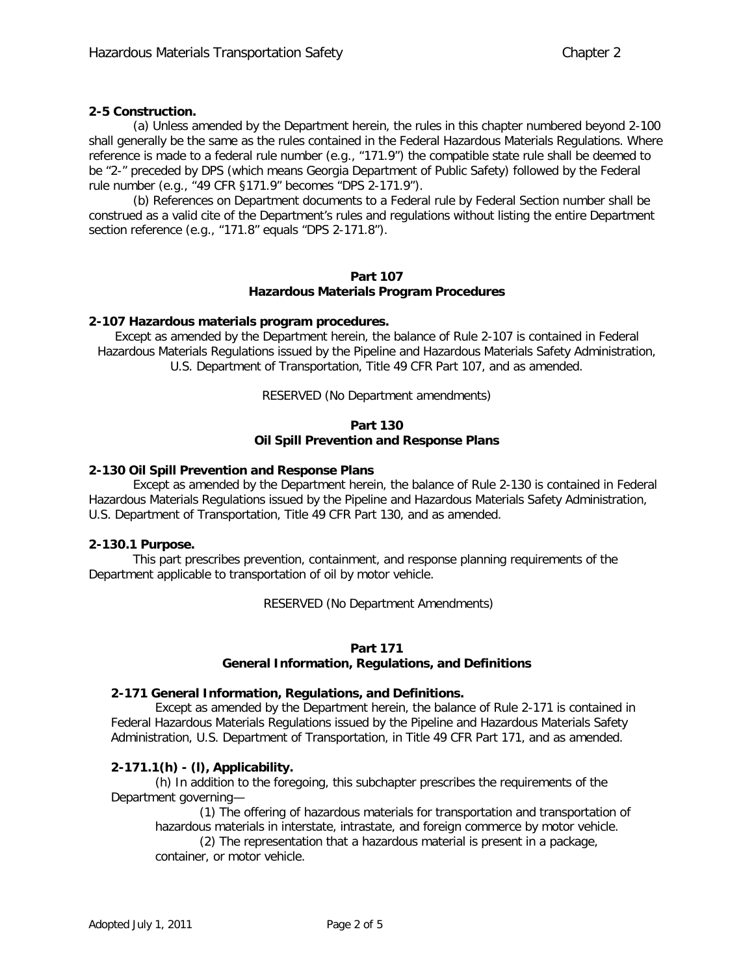# **2-5 Construction.**

(a) Unless amended by the Department herein, the rules in this chapter numbered beyond 2-100 shall generally be the same as the rules contained in the Federal Hazardous Materials Regulations. Where reference is made to a federal rule number (e.g., "171.9") the compatible state rule shall be deemed to be "2-" preceded by DPS (which means Georgia Department of Public Safety) followed by the Federal rule number (e.g., "49 CFR §171.9" becomes "DPS 2-171.9").

(b) References on Department documents to a Federal rule by Federal Section number shall be construed as a valid cite of the Department's rules and regulations without listing the entire Department section reference (e.g., "171.8" equals "DPS 2-171.8").

# **Part 107**

# **Hazardous Materials Program Procedures**

# **2-107 Hazardous materials program procedures.**

Except as amended by the Department herein, the balance of Rule 2-107 is contained in Federal Hazardous Materials Regulations issued by the Pipeline and Hazardous Materials Safety Administration, U.S. Department of Transportation, Title 49 CFR Part 107, and as amended.

RESERVED (No Department amendments)

### **Part 130 Oil Spill Prevention and Response Plans**

# **2-130 Oil Spill Prevention and Response Plans**

Except as amended by the Department herein, the balance of Rule 2-130 is contained in Federal Hazardous Materials Regulations issued by the Pipeline and Hazardous Materials Safety Administration, U.S. Department of Transportation, Title 49 CFR Part 130, and as amended.

### **2-130.1 Purpose.**

This part prescribes prevention, containment, and response planning requirements of the Department applicable to transportation of oil by motor vehicle.

RESERVED (No Department Amendments)

### **Part 171**

# **General Information, Regulations, and Definitions**

### **2-171 General Information, Regulations, and Definitions.**

Except as amended by the Department herein, the balance of Rule 2-171 is contained in Federal Hazardous Materials Regulations issued by the Pipeline and Hazardous Materials Safety Administration, U.S. Department of Transportation, in Title 49 CFR Part 171, and as amended.

# **2-171.1(h) - (l), Applicability.**

(h) In addition to the foregoing, this subchapter prescribes the requirements of the Department governing—

(1) The offering of hazardous materials for transportation and transportation of hazardous materials in interstate, intrastate, and foreign commerce by motor vehicle.

(2) The representation that a hazardous material is present in a package, container, or motor vehicle.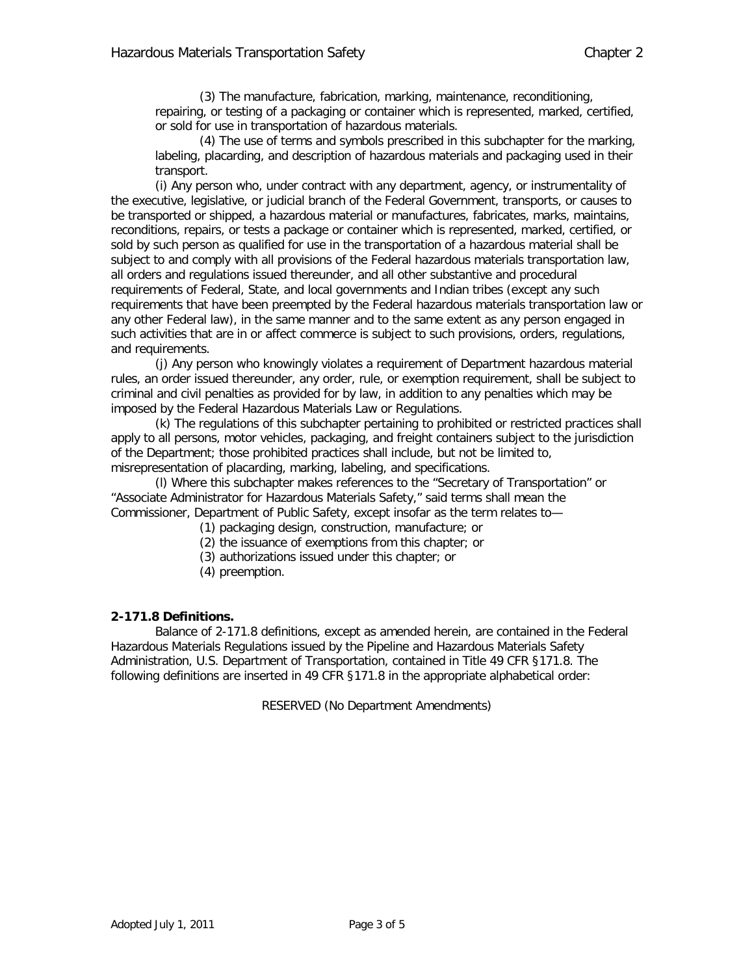(3) The manufacture, fabrication, marking, maintenance, reconditioning, repairing, or testing of a packaging or container which is represented, marked, certified, or sold for use in transportation of hazardous materials.

(4) The use of terms and symbols prescribed in this subchapter for the marking, labeling, placarding, and description of hazardous materials and packaging used in their transport.

(i) Any person who, under contract with any department, agency, or instrumentality of the executive, legislative, or judicial branch of the Federal Government, transports, or causes to be transported or shipped, a hazardous material or manufactures, fabricates, marks, maintains, reconditions, repairs, or tests a package or container which is represented, marked, certified, or sold by such person as qualified for use in the transportation of a hazardous material shall be subject to and comply with all provisions of the Federal hazardous materials transportation law, all orders and regulations issued thereunder, and all other substantive and procedural requirements of Federal, State, and local governments and Indian tribes (except any such requirements that have been preempted by the Federal hazardous materials transportation law or any other Federal law), in the same manner and to the same extent as any person engaged in such activities that are in or affect commerce is subject to such provisions, orders, regulations, and requirements.

(j) Any person who knowingly violates a requirement of Department hazardous material rules, an order issued thereunder, any order, rule, or exemption requirement, shall be subject to criminal and civil penalties as provided for by law, in addition to any penalties which may be imposed by the Federal Hazardous Materials Law or Regulations.

(k) The regulations of this subchapter pertaining to prohibited or restricted practices shall apply to all persons, motor vehicles, packaging, and freight containers subject to the jurisdiction of the Department; those prohibited practices shall include, but not be limited to, misrepresentation of placarding, marking, labeling, and specifications.

(l) Where this subchapter makes references to the "Secretary of Transportation" or "Associate Administrator for Hazardous Materials Safety," said terms shall mean the Commissioner, Department of Public Safety, except insofar as the term relates to—

- (1) packaging design, construction, manufacture; or
- (2) the issuance of exemptions from this chapter; or
- (3) authorizations issued under this chapter; or
- (4) preemption.

# **2-171.8 Definitions.**

Balance of 2-171.8 definitions, except as amended herein, are contained in the Federal Hazardous Materials Regulations issued by the Pipeline and Hazardous Materials Safety Administration, U.S. Department of Transportation, contained in Title 49 CFR §171.8. The following definitions are inserted in 49 CFR §171.8 in the appropriate alphabetical order:

RESERVED (No Department Amendments)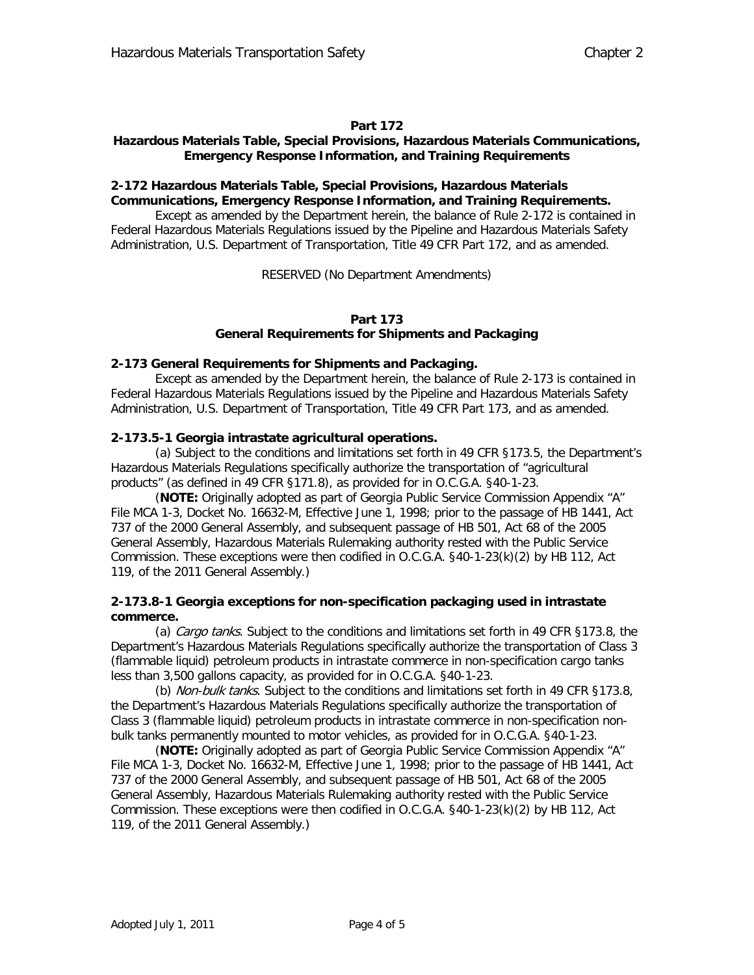# **Part 172**

# **Hazardous Materials Table, Special Provisions, Hazardous Materials Communications, Emergency Response Information, and Training Requirements**

#### **2-172 Hazardous Materials Table, Special Provisions, Hazardous Materials Communications, Emergency Response Information, and Training Requirements.**

Except as amended by the Department herein, the balance of Rule 2-172 is contained in Federal Hazardous Materials Regulations issued by the Pipeline and Hazardous Materials Safety Administration, U.S. Department of Transportation, Title 49 CFR Part 172, and as amended.

RESERVED (No Department Amendments)

# **Part 173 General Requirements for Shipments and Packaging**

# **2-173 General Requirements for Shipments and Packaging.**

Except as amended by the Department herein, the balance of Rule 2-173 is contained in Federal Hazardous Materials Regulations issued by the Pipeline and Hazardous Materials Safety Administration, U.S. Department of Transportation, Title 49 CFR Part 173, and as amended.

# **2-173.5-1 Georgia intrastate agricultural operations.**

(a) Subject to the conditions and limitations set forth in 49 CFR §173.5, the Department's Hazardous Materials Regulations specifically authorize the transportation of "agricultural products" (as defined in 49 CFR §171.8), as provided for in O.C.G.A. §40-1-23.

(**NOTE:** Originally adopted as part of Georgia Public Service Commission Appendix "A" File MCA 1-3, Docket No. 16632-M, Effective June 1, 1998; prior to the passage of HB 1441, Act 737 of the 2000 General Assembly, and subsequent passage of HB 501, Act 68 of the 2005 General Assembly, Hazardous Materials Rulemaking authority rested with the Public Service Commission. These exceptions were then codified in O.C.G.A. §40-1-23(k)(2) by HB 112, Act 119, of the 2011 General Assembly.)

# **2-173.8-1 Georgia exceptions for non-specification packaging used in intrastate commerce.**

(a) Cargo tanks. Subject to the conditions and limitations set forth in 49 CFR §173.8, the Department's Hazardous Materials Regulations specifically authorize the transportation of Class 3 (flammable liquid) petroleum products in intrastate commerce in non-specification cargo tanks less than 3,500 gallons capacity, as provided for in O.C.G.A. §40-1-23.

(b) Non-bulk tanks. Subject to the conditions and limitations set forth in 49 CFR §173.8, the Department's Hazardous Materials Regulations specifically authorize the transportation of Class 3 (flammable liquid) petroleum products in intrastate commerce in non-specification nonbulk tanks permanently mounted to motor vehicles, as provided for in O.C.G.A. §40-1-23.

(**NOTE:** Originally adopted as part of Georgia Public Service Commission Appendix "A" File MCA 1-3, Docket No. 16632-M, Effective June 1, 1998; prior to the passage of HB 1441, Act 737 of the 2000 General Assembly, and subsequent passage of HB 501, Act 68 of the 2005 General Assembly, Hazardous Materials Rulemaking authority rested with the Public Service Commission. These exceptions were then codified in O.C.G.A. §40-1-23(k)(2) by HB 112, Act 119, of the 2011 General Assembly.)